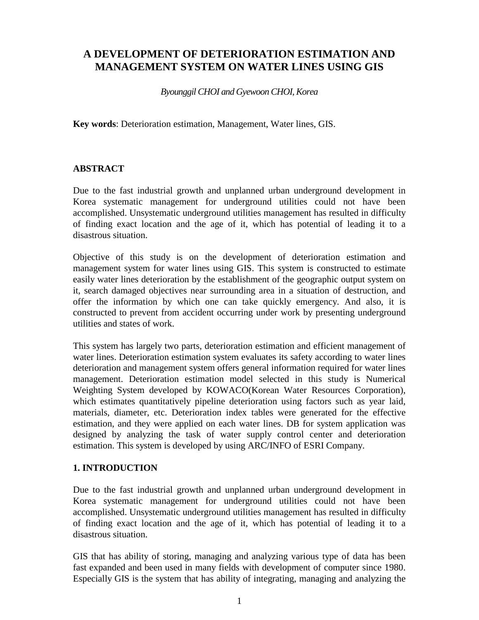# **A DEVELOPMENT OF DETERIORATION ESTIMATION AND MANAGEMENT SYSTEM ON WATER LINES USING GIS**

*Byounggil CHOI and Gyewoon CHOI, Korea*

**Key words**: Deterioration estimation, Management, Water lines, GIS.

#### **ABSTRACT**

Due to the fast industrial growth and unplanned urban underground development in Korea systematic management for underground utilities could not have been accomplished. Unsystematic underground utilities management has resulted in difficulty of finding exact location and the age of it, which has potential of leading it to a disastrous situation.

Objective of this study is on the development of deterioration estimation and management system for water lines using GIS. This system is constructed to estimate easily water lines deterioration by the establishment of the geographic output system on it, search damaged objectives near surrounding area in a situation of destruction, and offer the information by which one can take quickly emergency. And also, it is constructed to prevent from accident occurring under work by presenting underground utilities and states of work.

This system has largely two parts, deterioration estimation and efficient management of water lines. Deterioration estimation system evaluates its safety according to water lines deterioration and management system offers general information required for water lines management. Deterioration estimation model selected in this study is Numerical Weighting System developed by KOWACO(Korean Water Resources Corporation), which estimates quantitatively pipeline deterioration using factors such as year laid, materials, diameter, etc. Deterioration index tables were generated for the effective estimation, and they were applied on each water lines. DB for system application was designed by analyzing the task of water supply control center and deterioration estimation. This system is developed by using ARC/INFO of ESRI Company.

#### **1. INTRODUCTION**

Due to the fast industrial growth and unplanned urban underground development in Korea systematic management for underground utilities could not have been accomplished. Unsystematic underground utilities management has resulted in difficulty of finding exact location and the age of it, which has potential of leading it to a disastrous situation.

GIS that has ability of storing, managing and analyzing various type of data has been fast expanded and been used in many fields with development of computer since 1980. Especially GIS is the system that has ability of integrating, managing and analyzing the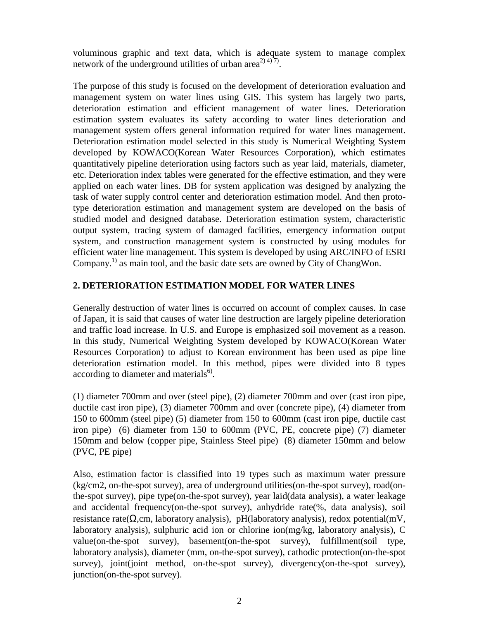voluminous graphic and text data, which is adequate system to manage complex network of the underground utilities of urban area<sup>2) 4) 7</sup>.

The purpose of this study is focused on the development of deterioration evaluation and management system on water lines using GIS. This system has largely two parts, deterioration estimation and efficient management of water lines. Deterioration estimation system evaluates its safety according to water lines deterioration and management system offers general information required for water lines management. Deterioration estimation model selected in this study is Numerical Weighting System developed by KOWACO(Korean Water Resources Corporation), which estimates quantitatively pipeline deterioration using factors such as year laid, materials, diameter, etc. Deterioration index tables were generated for the effective estimation, and they were applied on each water lines. DB for system application was designed by analyzing the task of water supply control center and deterioration estimation model. And then prototype deterioration estimation and management system are developed on the basis of studied model and designed database. Deterioration estimation system, characteristic output system, tracing system of damaged facilities, emergency information output system, and construction management system is constructed by using modules for efficient water line management. This system is developed by using ARC/INFO of ESRI Company.<sup>1)</sup> as main tool, and the basic date sets are owned by City of ChangWon.

#### **2. DETERIORATION ESTIMATION MODEL FOR WATER LINES**

Generally destruction of water lines is occurred on account of complex causes. In case of Japan, it is said that causes of water line destruction are largely pipeline deterioration and traffic load increase. In U.S. and Europe is emphasized soil movement as a reason. In this study, Numerical Weighting System developed by KOWACO(Korean Water Resources Corporation) to adjust to Korean environment has been used as pipe line deterioration estimation model. In this method, pipes were divided into 8 types according to diameter and materials<sup>6)</sup>.

(1) diameter 700mm and over (steel pipe), (2) diameter 700mm and over (cast iron pipe, ductile cast iron pipe), (3) diameter 700mm and over (concrete pipe), (4) diameter from 150 to 600mm (steel pipe) (5) diameter from 150 to 600mm (cast iron pipe, ductile cast iron pipe) (6) diameter from 150 to 600mm (PVC, PE, concrete pipe) (7) diameter 150mm and below (copper pipe, Stainless Steel pipe) (8) diameter 150mm and below (PVC, PE pipe)

Also, estimation factor is classified into 19 types such as maximum water pressure (kg/cm2, on-the-spot survey), area of underground utilities(on-the-spot survey), road(onthe-spot survey), pipe type(on-the-spot survey), year laid(data analysis), a water leakage and accidental frequency(on-the-spot survey), anhydride rate(%, data analysis), soil resistance rate( $\Omega$ ,cm, laboratory analysis), pH(laboratory analysis), redox potential(mV, laboratory analysis), sulphuric acid ion or chlorine ion(mg/kg, laboratory analysis), C value(on-the-spot survey), basement(on-the-spot survey), fulfillment(soil type, laboratory analysis), diameter (mm, on-the-spot survey), cathodic protection(on-the-spot survey), joint(joint method, on-the-spot survey), divergency(on-the-spot survey), junction(on-the-spot survey).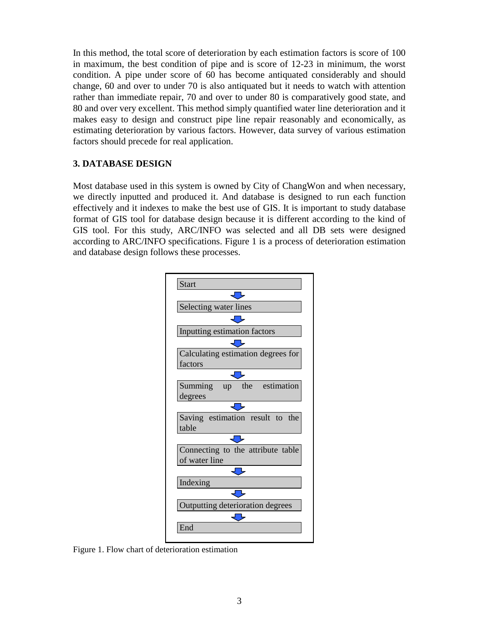In this method, the total score of deterioration by each estimation factors is score of 100 in maximum, the best condition of pipe and is score of 12-23 in minimum, the worst condition. A pipe under score of 60 has become antiquated considerably and should change, 60 and over to under 70 is also antiquated but it needs to watch with attention rather than immediate repair, 70 and over to under 80 is comparatively good state, and 80 and over very excellent. This method simply quantified water line deterioration and it makes easy to design and construct pipe line repair reasonably and economically, as estimating deterioration by various factors. However, data survey of various estimation factors should precede for real application.

## **3. DATABASE DESIGN**

Most database used in this system is owned by City of ChangWon and when necessary, we directly inputted and produced it. And database is designed to run each function effectively and it indexes to make the best use of GIS. It is important to study database format of GIS tool for database design because it is different according to the kind of GIS tool. For this study, ARC/INFO was selected and all DB sets were designed according to ARC/INFO specifications. Figure 1 is a process of deterioration estimation and database design follows these processes.



Figure 1. Flow chart of deterioration estimation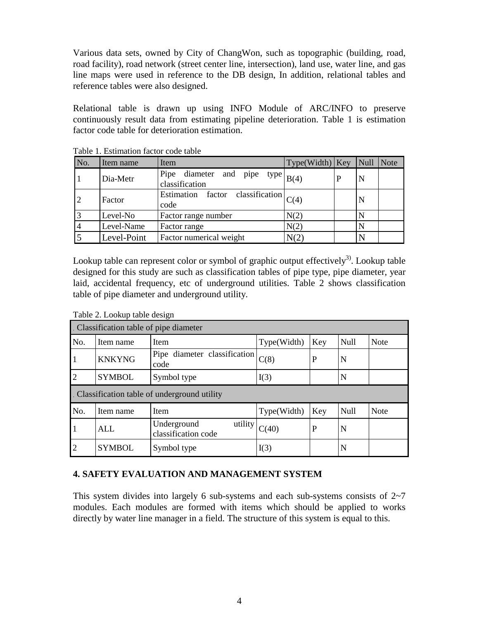Various data sets, owned by City of ChangWon, such as topographic (building, road, road facility), road network (street center line, intersection), land use, water line, and gas line maps were used in reference to the DB design, In addition, relational tables and reference tables were also designed.

Relational table is drawn up using INFO Module of ARC/INFO to preserve continuously result data from estimating pipeline deterioration. Table 1 is estimation factor code table for deterioration estimation.

| No. | Item name   | Item                                                 | $Type (Width)$ Key | Null | Note |
|-----|-------------|------------------------------------------------------|--------------------|------|------|
|     | Dia-Metr    | Pipe diameter and pipe type $B(4)$<br>classification |                    |      |      |
|     | Factor      | Estimation factor classification $ C(4) $<br>code    |                    |      |      |
|     | Level-No    | Factor range number                                  | N(2)               |      |      |
|     | Level-Name  | Factor range                                         | N(2)               |      |      |
|     | Level-Point | Factor numerical weight                              | N(2)               |      |      |

Table 1. Estimation factor code table

Lookup table can represent color or symbol of graphic output effectively<sup>3</sup>. Lookup table designed for this study are such as classification tables of pipe type, pipe diameter, year laid, accidental frequency, etc of underground utilities. Table 2 shows classification table of pipe diameter and underground utility.

| . Classification table of pipe diameter       |               |                                               |             |     |      |             |
|-----------------------------------------------|---------------|-----------------------------------------------|-------------|-----|------|-------------|
| No.                                           | Item name     | Item                                          | Type(Width) | Key | Null | <b>Note</b> |
| $\mathbf{1}$                                  | <b>KNKYNG</b> | Pipe diameter classification<br>code          | C(8)        | P   | N    |             |
| $\overline{2}$                                | <b>SYMBOL</b> | Symbol type                                   | I(3)        |     | N    |             |
| . Classification table of underground utility |               |                                               |             |     |      |             |
| No.                                           | Item name     | Item                                          | Type(Width) | Key | Null | <b>Note</b> |
| $\mathbf{1}$                                  | <b>ALL</b>    | Underground<br>utility<br>classification code | C(40)       | P   | N    |             |
| $\overline{2}$                                | <b>SYMBOL</b> | Symbol type                                   | I(3)        |     | N    |             |

Table 2. Lookup table design

#### **4. SAFETY EVALUATION AND MANAGEMENT SYSTEM**

This system divides into largely 6 sub-systems and each sub-systems consists of  $2\neg$ 7 modules. Each modules are formed with items which should be applied to works directly by water line manager in a field. The structure of this system is equal to this.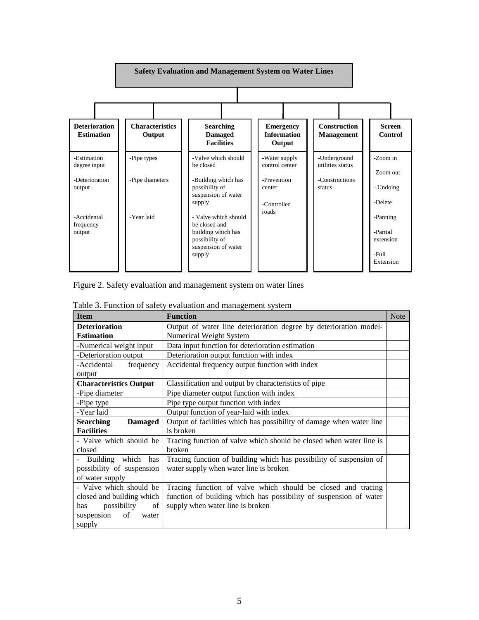

Figure 2. Safety evaluation and management system on water lines

| <b>Item</b>                        | $1 \text{ and } 3$ . I different of $\text{supp}$ $\mathbf{v}$ ratuation and management $\text{supp}$<br><b>Function</b> | <b>Note</b> |
|------------------------------------|--------------------------------------------------------------------------------------------------------------------------|-------------|
| <b>Deterioration</b>               |                                                                                                                          |             |
|                                    | Output of water line deterioration degree by deterioration model-                                                        |             |
| <b>Estimation</b>                  | Numerical Weight System                                                                                                  |             |
| -Numerical weight input            | Data input function for deterioration estimation                                                                         |             |
| -Deterioration output              | Deterioration output function with index                                                                                 |             |
| -Accidental<br>frequency           | Accidental frequency output function with index                                                                          |             |
| output                             |                                                                                                                          |             |
| <b>Characteristics Output</b>      | Classification and output by characteristics of pipe                                                                     |             |
| -Pipe diameter                     | Pipe diameter output function with index                                                                                 |             |
| -Pipe type                         | Pipe type output function with index                                                                                     |             |
| -Year laid                         | Output function of year-laid with index                                                                                  |             |
| <b>Searching</b><br><b>Damaged</b> | Output of facilities which has possibility of damage when water line                                                     |             |
| <b>Facilities</b>                  | is broken                                                                                                                |             |
| - Valve which should be            | Tracing function of valve which should be closed when water line is                                                      |             |
| closed                             | broken                                                                                                                   |             |
| - Building which<br>has            | Tracing function of building which has possibility of suspension of                                                      |             |
| possibility of suspension          | water supply when water line is broken                                                                                   |             |
| of water supply                    |                                                                                                                          |             |
| - Valve which should be            | Tracing function of valve which should be closed and tracing                                                             |             |
| closed and building which          | function of building which has possibility of suspension of water                                                        |             |
| possibility<br>of<br>has           | supply when water line is broken                                                                                         |             |
| suspension<br>of<br>water          |                                                                                                                          |             |
| supply                             |                                                                                                                          |             |

Table 3. Function of safety evaluation and management system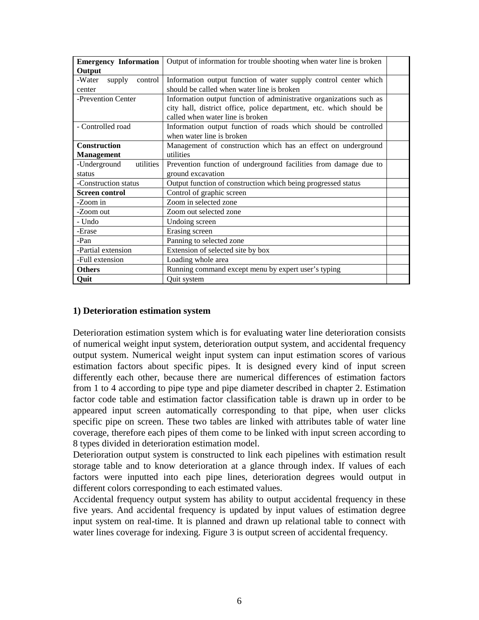| <b>Emergency Information</b> | Output of information for trouble shooting when water line is broken |  |
|------------------------------|----------------------------------------------------------------------|--|
| Output                       |                                                                      |  |
| -Water<br>control<br>supply  | Information output function of water supply control center which     |  |
| center                       | should be called when water line is broken                           |  |
| -Prevention Center           | Information output function of administrative organizations such as  |  |
|                              | city hall, district office, police department, etc. which should be  |  |
|                              | called when water line is broken                                     |  |
| - Controlled road            | Information output function of roads which should be controlled      |  |
|                              | when water line is broken                                            |  |
| <b>Construction</b>          | Management of construction which has an effect on underground        |  |
| <b>Management</b>            | utilities                                                            |  |
| -Underground<br>utilities    | Prevention function of underground facilities from damage due to     |  |
| status                       | ground excavation                                                    |  |
| -Construction status         | Output function of construction which being progressed status        |  |
| <b>Screen control</b>        | Control of graphic screen                                            |  |
| -Zoom in                     | Zoom in selected zone                                                |  |
| -Zoom out                    | Zoom out selected zone                                               |  |
| - Undo                       | Undoing screen                                                       |  |
| -Erase                       | Erasing screen                                                       |  |
| -Pan                         | Panning to selected zone                                             |  |
| -Partial extension           | Extension of selected site by box                                    |  |
| -Full extension              | Loading whole area                                                   |  |
| <b>Others</b>                | Running command except menu by expert user's typing                  |  |
| Quit                         | Quit system                                                          |  |

#### **1) Deterioration estimation system**

Deterioration estimation system which is for evaluating water line deterioration consists of numerical weight input system, deterioration output system, and accidental frequency output system. Numerical weight input system can input estimation scores of various estimation factors about specific pipes. It is designed every kind of input screen differently each other, because there are numerical differences of estimation factors from 1 to 4 according to pipe type and pipe diameter described in chapter 2. Estimation factor code table and estimation factor classification table is drawn up in order to be appeared input screen automatically corresponding to that pipe, when user clicks specific pipe on screen. These two tables are linked with attributes table of water line coverage, therefore each pipes of them come to be linked with input screen according to 8 types divided in deterioration estimation model.

Deterioration output system is constructed to link each pipelines with estimation result storage table and to know deterioration at a glance through index. If values of each factors were inputted into each pipe lines, deterioration degrees would output in different colors corresponding to each estimated values.

Accidental frequency output system has ability to output accidental frequency in these five years. And accidental frequency is updated by input values of estimation degree input system on real-time. It is planned and drawn up relational table to connect with water lines coverage for indexing. Figure 3 is output screen of accidental frequency.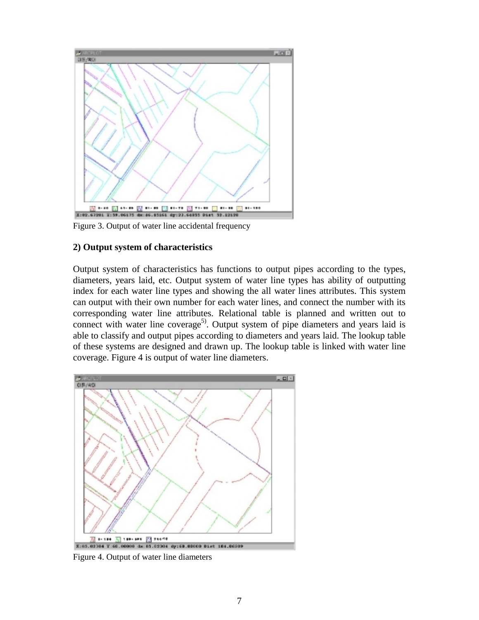

Figure 3. Output of water line accidental frequency

#### **2) Output system of characteristics**

Output system of characteristics has functions to output pipes according to the types, diameters, years laid, etc. Output system of water line types has ability of outputting index for each water line types and showing the all water lines attributes. This system can output with their own number for each water lines, and connect the number with its corresponding water line attributes. Relational table is planned and written out to connect with water line coverage<sup>5)</sup>. Output system of pipe diameters and years laid is able to classify and output pipes according to diameters and years laid. The lookup table of these systems are designed and drawn up. The lookup table is linked with water line coverage. Figure 4 is output of water line diameters.



Figure 4. Output of water line diameters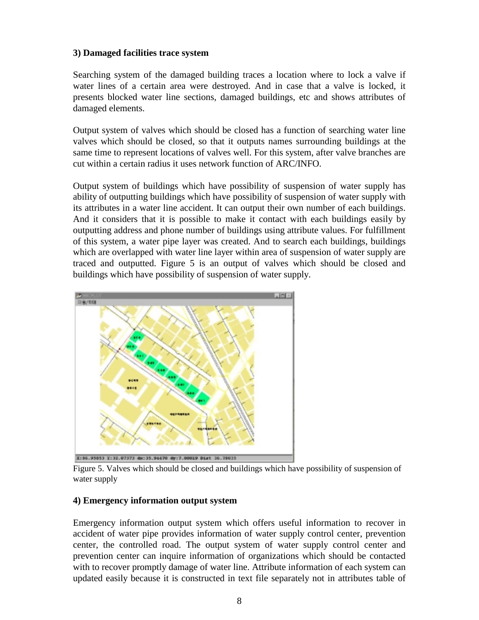#### **3) Damaged facilities trace system**

Searching system of the damaged building traces a location where to lock a valve if water lines of a certain area were destroyed. And in case that a valve is locked, it presents blocked water line sections, damaged buildings, etc and shows attributes of damaged elements.

Output system of valves which should be closed has a function of searching water line valves which should be closed, so that it outputs names surrounding buildings at the same time to represent locations of valves well. For this system, after valve branches are cut within a certain radius it uses network function of ARC/INFO.

Output system of buildings which have possibility of suspension of water supply has ability of outputting buildings which have possibility of suspension of water supply with its attributes in a water line accident. It can output their own number of each buildings. And it considers that it is possible to make it contact with each buildings easily by outputting address and phone number of buildings using attribute values. For fulfillment of this system, a water pipe layer was created. And to search each buildings, buildings which are overlapped with water line layer within area of suspension of water supply are traced and outputted. Figure 5 is an output of valves which should be closed and buildings which have possibility of suspension of water supply.



Figure 5. Valves which should be closed and buildings which have possibility of suspension of water supply

## **4) Emergency information output system**

Emergency information output system which offers useful information to recover in accident of water pipe provides information of water supply control center, prevention center, the controlled road. The output system of water supply control center and prevention center can inquire information of organizations which should be contacted with to recover promptly damage of water line. Attribute information of each system can updated easily because it is constructed in text file separately not in attributes table of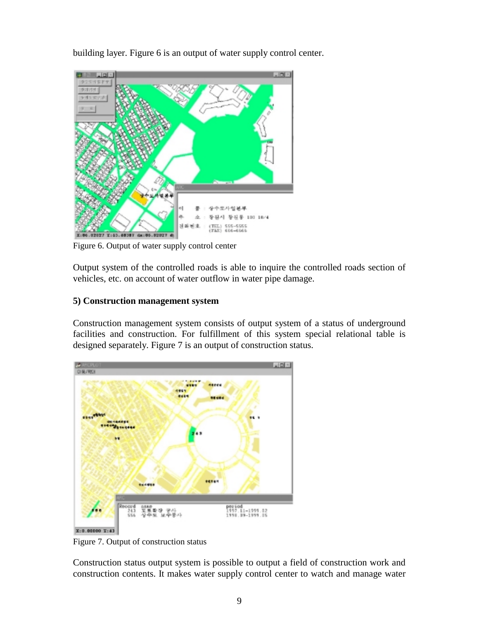building layer. Figure 6 is an output of water supply control center.



Figure 6. Output of water supply control center

Output system of the controlled roads is able to inquire the controlled roads section of vehicles, etc. on account of water outflow in water pipe damage.

#### **5) Construction management system**

Construction management system consists of output system of a status of underground facilities and construction. For fulfillment of this system special relational table is designed separately. Figure 7 is an output of construction status.



Figure 7. Output of construction status

Construction status output system is possible to output a field of construction work and construction contents. It makes water supply control center to watch and manage water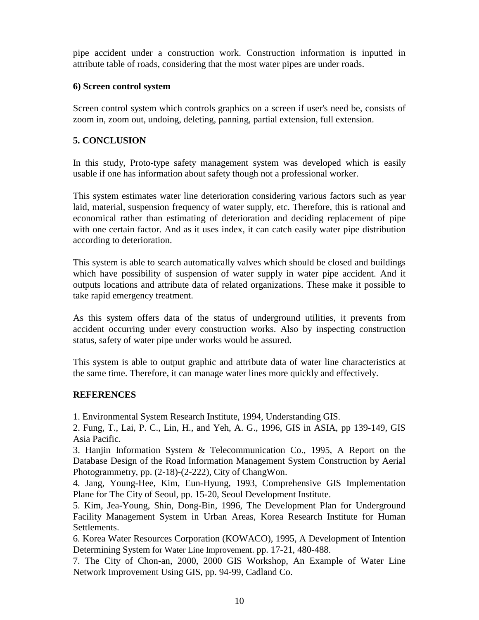pipe accident under a construction work. Construction information is inputted in attribute table of roads, considering that the most water pipes are under roads.

#### **6) Screen control system**

Screen control system which controls graphics on a screen if user's need be, consists of zoom in, zoom out, undoing, deleting, panning, partial extension, full extension.

# **5. CONCLUSION**

In this study, Proto-type safety management system was developed which is easily usable if one has information about safety though not a professional worker.

This system estimates water line deterioration considering various factors such as year laid, material, suspension frequency of water supply, etc. Therefore, this is rational and economical rather than estimating of deterioration and deciding replacement of pipe with one certain factor. And as it uses index, it can catch easily water pipe distribution according to deterioration.

This system is able to search automatically valves which should be closed and buildings which have possibility of suspension of water supply in water pipe accident. And it outputs locations and attribute data of related organizations. These make it possible to take rapid emergency treatment.

As this system offers data of the status of underground utilities, it prevents from accident occurring under every construction works. Also by inspecting construction status, safety of water pipe under works would be assured.

This system is able to output graphic and attribute data of water line characteristics at the same time. Therefore, it can manage water lines more quickly and effectively.

## **REFERENCES**

1. Environmental System Research Institute, 1994, Understanding GIS.

2. Fung, T., Lai, P. C., Lin, H., and Yeh, A. G., 1996, GIS in ASIA, pp 139-149, GIS Asia Pacific.

3. Hanjin Information System & Telecommunication Co., 1995, A Report on the Database Design of the Road Information Management System Construction by Aerial Photogrammetry, pp. (2-18)-(2-222), City of ChangWon.

4. Jang, Young-Hee, Kim, Eun-Hyung, 1993, Comprehensive GIS Implementation Plane for The City of Seoul, pp. 15-20, Seoul Development Institute.

5. Kim, Jea-Young, Shin, Dong-Bin, 1996, The Development Plan for Underground Facility Management System in Urban Areas, Korea Research Institute for Human Settlements.

6. Korea Water Resources Corporation (KOWACO), 1995, A Development of Intention Determining System for Water Line Improvement. pp. 17-21, 480-488.

7. The City of Chon-an, 2000, 2000 GIS Workshop, An Example of Water Line Network Improvement Using GIS, pp. 94-99, Cadland Co.